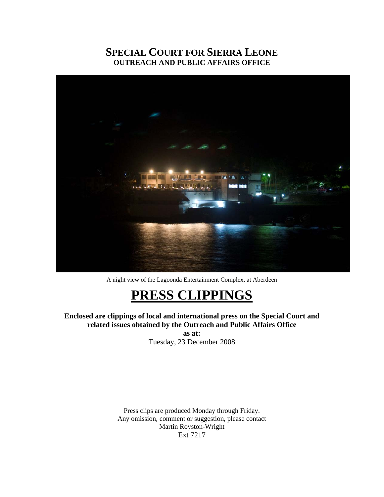### **SPECIAL COURT FOR SIERRA LEONE OUTREACH AND PUBLIC AFFAIRS OFFICE**



A night view of the Lagoonda Entertainment Complex, at Aberdeen

# **PRESS CLIPPINGS**

**Enclosed are clippings of local and international press on the Special Court and related issues obtained by the Outreach and Public Affairs Office** 

**as at:**  Tuesday, 23 December 2008

Press clips are produced Monday through Friday. Any omission, comment or suggestion, please contact Martin Royston-Wright Ext 7217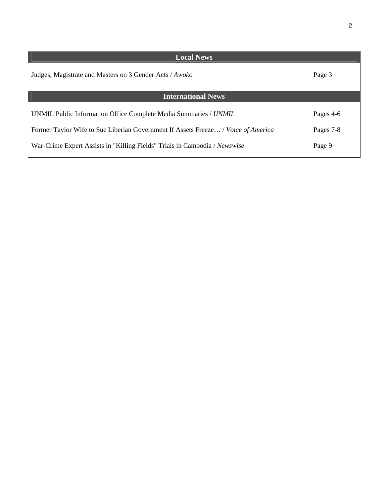| <b>Local News</b>                                                                 |           |
|-----------------------------------------------------------------------------------|-----------|
| Judges, Magistrate and Masters on 3 Gender Acts / Awoko                           | Page 3    |
| <b>International News</b>                                                         |           |
| UNMIL Public Information Office Complete Media Summaries / UNMIL                  | Pages 4-6 |
| Former Taylor Wife to Sue Liberian Government If Assets Freeze / Voice of America | Pages 7-8 |
| War-Crime Expert Assists in "Killing Fields" Trials in Cambodia / Newswise        | Page 9    |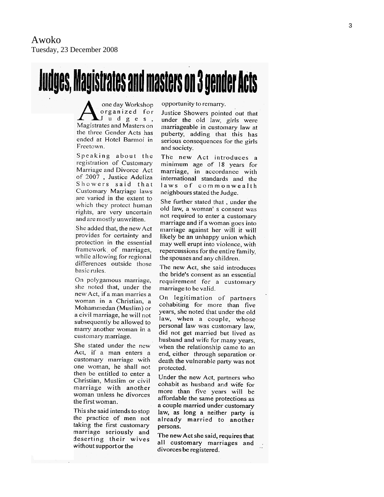# **Judges, Magistrates and masters on 3 gender Acts**

one day Workshop organized for  $J$  udges. Magistrates and Masters on the three Gender Acts has ended at Hotel Barmoi in Freetown.

Speaking about the registration of Customary Marriage and Divorce Act of 2007, Justice Adeliza Showers said that Customary Marriage laws are varied in the extent to which they protect human rights, are very uncertain and are mostly unwritten.

She added that, the new Act provides for certainty and protection in the essential framework of marriages, while allowing for regional differences outside those basic rules.

On polygamous marriage, she noted that, under the new Act, if a man marries a woman in a Christian, a Mohammedan (Muslim) or a civil marriage, he will not subsequently be allowed to marry another woman in a customary marriage.

She stated under the new Act, if a man enters a customary marriage with one woman, he shall not then be entitled to enter a Christian, Muslim or civil marriage with another woman unless he divorces the first woman.

This she said intends to stop the practice of men not taking the first customary marriage seriously and deserting their wives without support or the

opportunity to remarry.

Justice Showers pointed out that under the old law, girls were marriageable in customary law at puberty, adding that this has serious consequences for the girls and society.

The new Act introduces a minimum age of 18 years for marriage, in accordance with international standards and the laws of commonwealth neighbours stated the Judge.

She further stated that, under the old law, a woman' s consent was not required to enter a customary marriage and if a woman goes into marriage against her will it will likely be an unhappy union which may well erupt into violence, with repercussions for the entire family. the spouses and any children.

The new Act, she said introduces the bride's consent as an essential requirement for a customary marriage to be valid.

On legitimation of partners cohabiting for more than five years, she noted that under the old law, when a couple, whose personal law was customary law. did not get married but lived as husband and wife for many years. when the relationship came to an end, either through separation or death the vulnerable party was not protected.

Under the new Act, partners who cohabit as husband and wife for more than five years will be affordable the same protections as a couple married under customary law, as long a neither party is already married to another persons.

The new Act she said, requires that all customary marriages and divorces be registered.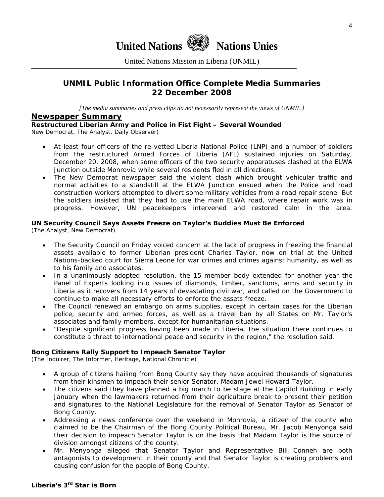

United Nations Mission in Liberia (UNMIL)

#### **UNMIL Public Information Office Complete Media Summaries 22 December 2008**

*[The media summaries and press clips do not necessarily represent the views of UNMIL.]* 

#### **Newspaper Summary**

**Restructured Liberian Army and Police in Fist Fight – Several Wounded** 

New Democrat, The Analyst, Daily Observer)

- At least four officers of the re-vetted Liberia National Police (LNP) and a number of soldiers from the restructured Armed Forces of Liberia (AFL) sustained injuries on Saturday, December 20, 2008, when some officers of the two security apparatuses clashed at the ELWA Junction outside Monrovia while several residents fled in all directions.
- The New Democrat newspaper said the violent clash which brought vehicular traffic and normal activities to a standstill at the ELWA Junction ensued when the Police and road construction workers attempted to divert some military vehicles from a road repair scene. But the soldiers insisted that they had to use the main ELWA road, where repair work was in progress. However, UN peacekeepers intervened and restored calm in the area.

#### **UN Security Council Says Assets Freeze on Taylor's Buddies Must Be Enforced**

(The Analyst, New Democrat)

- The Security Council on Friday voiced concern at the lack of progress in freezing the financial assets available to former Liberian president Charles Taylor, now on trial at the United Nations-backed court for Sierra Leone for war crimes and crimes against humanity, as well as to his family and associates.
- In a unanimously adopted resolution, the 15-member body extended for another year the Panel of Experts looking into issues of diamonds, timber, sanctions, arms and security in Liberia as it recovers from 14 years of devastating civil war, and called on the Government to continue to make all necessary efforts to enforce the assets freeze.
- The Council renewed an embargo on arms supplies, except in certain cases for the Liberian police, security and armed forces, as well as a travel ban by all States on Mr. Taylor's associates and family members, except for humanitarian situations.
- "Despite significant progress having been made in Liberia, the situation there continues to constitute a threat to international peace and security in the region," the resolution said.

#### **Bong Citizens Rally Support to Impeach Senator Taylor**

(The Inquirer, The Informer, Heritage, National Chronicle)

- A group of citizens hailing from Bong County say they have acquired thousands of signatures from their kinsmen to impeach their senior Senator, Madam Jewel Howard-Taylor.
- The citizens said they have planned a big march to be stage at the Capitol Building in early January when the lawmakers returned from their agriculture break to present their petition and signatures to the National Legislature for the removal of Senator Taylor as Senator of Bong County.
- Addressing a news conference over the weekend in Monrovia, a citizen of the county who claimed to be the Chairman of the Bong County Political Bureau, Mr. Jacob Menyonga said their decision to impeach Senator Taylor is on the basis that Madam Taylor is the source of division amongst citizens of the county.
- Mr. Menyonga alleged that Senator Taylor and Representative Bill Conneh are both antagonists to development in their county and that Senator Taylor is creating problems and causing confusion for the people of Bong County.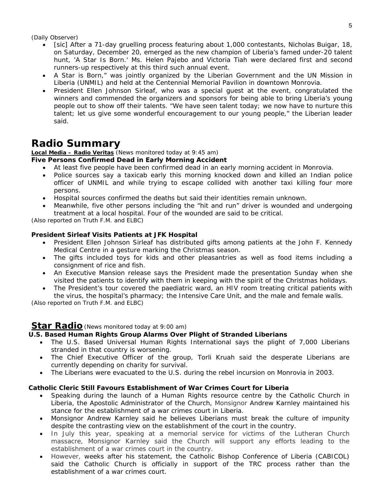(Daily Observer)

- [sic] After a 71-day gruelling process featuring about 1,000 contestants, Nicholas Buigar, 18, on Saturday, December 20, emerged as the new champion of Liberia's famed under-20 talent hunt, 'A Star Is Born.' Ms. Helen Pajebo and Victoria Tiah were declared first and second runners-up respectively at this third such annual event.
- A Star is Born," was jointly organized by the Liberian Government and the UN Mission in Liberia (UNMIL) and held at the Centennial Memorial Pavilion in downtown Monrovia.
- President Ellen Johnson Sirleaf, who was a special guest at the event, congratulated the winners and commended the organizers and sponsors for being able to bring Liberia's young people out to show off their talents. "We have seen talent today; we now have to nurture this talent; let us give some wonderful encouragement to our young people," the Liberian leader said.

## **Radio Summary**

#### **Local Media – Radio Veritas** *(News monitored today at 9:45 am)*

#### **Five Persons Confirmed Dead in Early Morning Accident**

- At least five people have been confirmed dead in an early morning accident in Monrovia.
- Police sources say a taxicab early this morning knocked down and killed an Indian police officer of UNMIL and while trying to escape collided with another taxi killing four more persons.
- Hospital sources confirmed the deaths but said their identities remain unknown.
- Meanwhile, five other persons including the "hit and run" driver is wounded and undergoing treatment at a local hospital. Four of the wounded are said to be critical.

*(Also reported on Truth F.M. and ELBC)* 

#### **President Sirleaf Visits Patients at JFK Hospital**

- President Ellen Johnson Sirleaf has distributed gifts among patients at the John F. Kennedy Medical Centre in a gesture marking the Christmas season.
- The gifts included toys for kids and other pleasantries as well as food items including a consignment of rice and fish.
- An Executive Mansion release says the President made the presentation Sunday when she visited the patients to identify with them in keeping with the spirit of the Christmas holidays.
- The President's tour covered the paediatric ward, an HIV room treating critical patients with the virus, the hospital's pharmacy; the Intensive Care Unit, and the male and female walls.

*(Also reported on Truth F.M. and ELBC)* 

#### **Star Radio***(News monitored today at 9:00 am)*

#### **U.S. Based Human Rights Group Alarms Over Plight of Stranded Liberians**

- The U.S. Based Universal Human Rights International says the plight of 7,000 Liberians stranded in that country is worsening.
- The Chief Executive Officer of the group, Torli Kruah said the desperate Liberians are currently depending on charity for survival.
- The Liberians were evacuated to the U.S. during the rebel incursion on Monrovia in 2003.

#### **Catholic Cleric Still Favours Establishment of War Crimes Court for Liberia**

- Speaking during the launch of a Human Rights resource centre by the Catholic Church in Liberia, the Apostolic Administrator of the Church, Monsignor Andrew Karnley maintained his stance for the establishment of a war crimes court in Liberia.
- Monsignor Andrew Karnley said he believes Liberians must break the culture of impunity despite the contrasting view on the establishment of the court in the country.
- In July this year, speaking at a memorial service for victims of the Lutheran Church massacre, Monsignor Karnley said the Church will support any efforts leading to the establishment of a war crimes court in the country.
- However, weeks after his statement, the Catholic Bishop Conference of Liberia (CABICOL) said the Catholic Church is officially in support of the TRC process rather than the establishment of a war crimes court.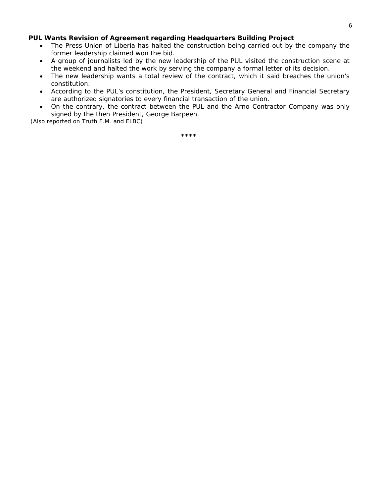#### **PUL Wants Revision of Agreement regarding Headquarters Building Project**

- The Press Union of Liberia has halted the construction being carried out by the company the former leadership claimed won the bid.
- A group of journalists led by the new leadership of the PUL visited the construction scene at the weekend and halted the work by serving the company a formal letter of its decision.
- The new leadership wants a total review of the contract, which it said breaches the union's constitution.
- According to the PUL's constitution, the President, Secretary General and Financial Secretary are authorized signatories to every financial transaction of the union.
- On the contrary, the contract between the PUL and the Arno Contractor Company was only signed by the then President, George Barpeen.

 *(Also reported on Truth F.M. and ELBC)*

\*\*\*\*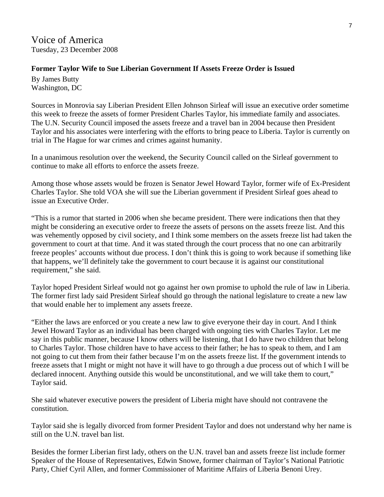Voice of America Tuesday, 23 December 2008

#### **Former Taylor Wife to Sue Liberian Government If Assets Freeze Order is Issued**

By James Butty Washington, DC

Sources in Monrovia say Liberian President Ellen Johnson Sirleaf will issue an executive order sometime this week to freeze the assets of former President Charles Taylor, his immediate family and associates. The U.N. Security Council imposed the assets freeze and a travel ban in 2004 because then President Taylor and his associates were interfering with the efforts to bring peace to Liberia. Taylor is currently on trial in The Hague for war crimes and crimes against humanity.

In a unanimous resolution over the weekend, the Security Council called on the Sirleaf government to continue to make all efforts to enforce the assets freeze.

Among those whose assets would be frozen is Senator Jewel Howard Taylor, former wife of Ex-President Charles Taylor. She told VOA she will sue the Liberian government if President Sirleaf goes ahead to issue an Executive Order.

"This is a rumor that started in 2006 when she became president. There were indications then that they might be considering an executive order to freeze the assets of persons on the assets freeze list. And this was vehemently opposed by civil society, and I think some members on the assets freeze list had taken the government to court at that time. And it was stated through the court process that no one can arbitrarily freeze peoples' accounts without due process. I don't think this is going to work because if something like that happens, we'll definitely take the government to court because it is against our constitutional requirement," she said.

Taylor hoped President Sirleaf would not go against her own promise to uphold the rule of law in Liberia. The former first lady said President Sirleaf should go through the national legislature to create a new law that would enable her to implement any assets freeze.

"Either the laws are enforced or you create a new law to give everyone their day in court. And I think Jewel Howard Taylor as an individual has been charged with ongoing ties with Charles Taylor. Let me say in this public manner, because I know others will be listening, that I do have two children that belong to Charles Taylor. Those children have to have access to their father; he has to speak to them, and I am not going to cut them from their father because I'm on the assets freeze list. If the government intends to freeze assets that I might or might not have it will have to go through a due process out of which I will be declared innocent. Anything outside this would be unconstitutional, and we will take them to court," Taylor said.

She said whatever executive powers the president of Liberia might have should not contravene the constitution.

Taylor said she is legally divorced from former President Taylor and does not understand why her name is still on the U.N. travel ban list.

Besides the former Liberian first lady, others on the U.N. travel ban and assets freeze list include former Speaker of the House of Representatives, Edwin Snowe, former chairman of Taylor's National Patriotic Party, Chief Cyril Allen, and former Commissioner of Maritime Affairs of Liberia Benoni Urey.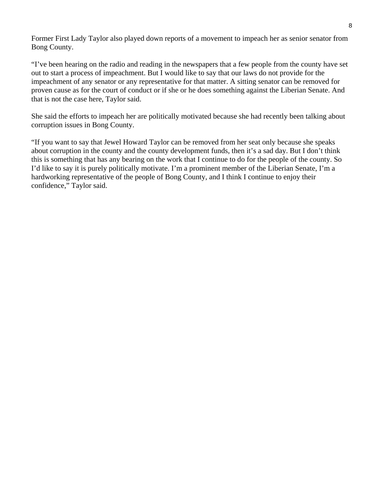Former First Lady Taylor also played down reports of a movement to impeach her as senior senator from Bong County.

"I've been hearing on the radio and reading in the newspapers that a few people from the county have set out to start a process of impeachment. But I would like to say that our laws do not provide for the impeachment of any senator or any representative for that matter. A sitting senator can be removed for proven cause as for the court of conduct or if she or he does something against the Liberian Senate. And that is not the case here, Taylor said.

She said the efforts to impeach her are politically motivated because she had recently been talking about corruption issues in Bong County.

"If you want to say that Jewel Howard Taylor can be removed from her seat only because she speaks about corruption in the county and the county development funds, then it's a sad day. But I don't think this is something that has any bearing on the work that I continue to do for the people of the county. So I'd like to say it is purely politically motivate. I'm a prominent member of the Liberian Senate, I'm a hardworking representative of the people of Bong County, and I think I continue to enjoy their confidence," Taylor said.